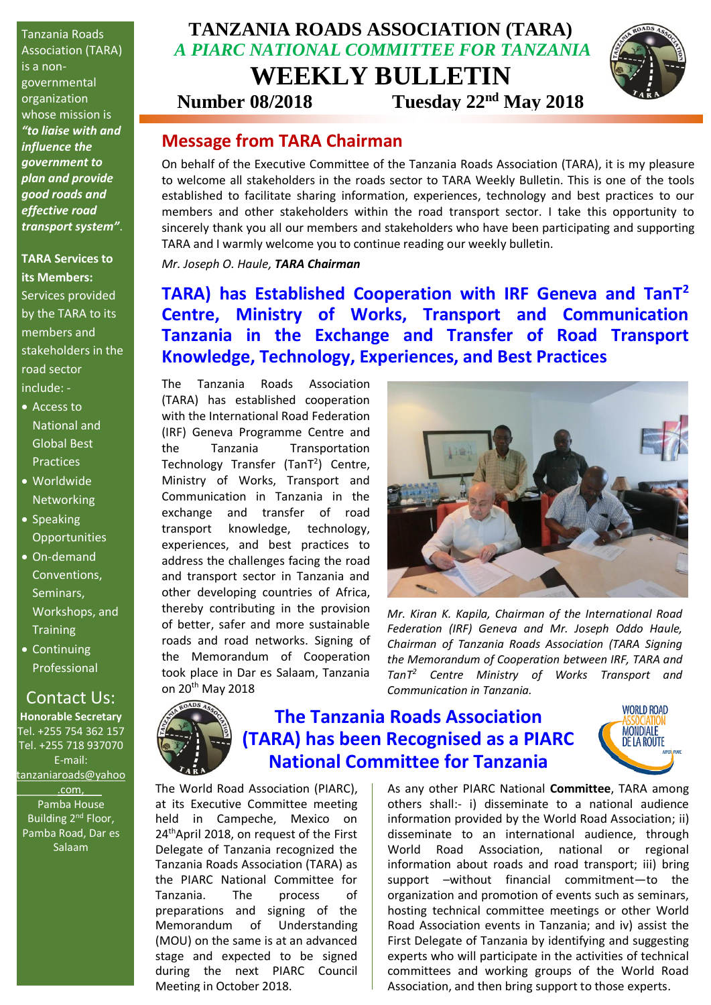Tanzania Roads Association (TARA) is a nongovernmental organization whose mission is *"to liaise with and influence the government to plan and provide good roads and effective road transport system"*.

#### **TARA Services to its Members:**

Services provided by the TARA to its members and stakeholders in the road sector include: -

- Access to National and Global Best Practices
- Worldwide **Networking**
- Speaking **Opportunities**
- On-demand Conventions, Seminars, Workshops, and **Training**
- Continuing Professional

#### Development. Contact Us:

for participation Tel. +255 754 362 157 Tel. +255 718 937070 events. E-mail: **Honorable Secretary** [tanzaniaroads@yahoo](mailto:tanzaniaroads@yahoo.com) [.com,](mailto:tanzaniaroads@yahoo.com) Pamba House Building 2<sup>nd</sup> Floor, Pamba Road, Dar es Salaam

## **TANZANIA ROADS ASSOCIATION (TARA)** *A PIARC NATIONAL COMMITTEE FOR TANZANIA* **WEEKLY BULLETIN**

**Number 08/2018 Tuesday 22nd May 2018**



### **Message from TARA Chairman**

On behalf of the Executive Committee of the Tanzania Roads Association (TARA), it is my pleasure to welcome all stakeholders in the roads sector to TARA Weekly Bulletin. This is one of the tools established to facilitate sharing information, experiences, technology and best practices to our members and other stakeholders within the road transport sector. I take this opportunity to sincerely thank you all our members and stakeholders who have been participating and supporting TARA and I warmly welcome you to continue reading our weekly bulletin.

*Mr. Joseph O. Haule, TARA Chairman*

**TARA) has Established Cooperation with IRF Geneva and TanT<sup>2</sup> Centre, Ministry of Works, Transport and Communication Tanzania in the Exchange and Transfer of Road Transport Knowledge, Technology, Experiences, and Best Practices**

The Tanzania Roads Association (TARA) has established cooperation with the International Road Federation (IRF) Geneva Programme Centre and the Tanzania Transportation Technology Transfer (TanT<sup>2</sup>) Centre, Ministry of Works, Transport and Communication in Tanzania in the exchange and transfer of road transport knowledge, technology, experiences, and best practices to address the challenges facing the road and transport sector in Tanzania and other developing countries of Africa, thereby contributing in the provision of better, safer and more sustainable roads and road networks. Signing of the Memorandum of Cooperation took place in Dar es Salaam, Tanzania on 20th May 2018

The World Road Association (PIARC), at its Executive Committee meeting held in Campeche, Mexico on 24<sup>th</sup>April 2018, on request of the First Delegate of Tanzania recognized the Tanzania Roads Association (TARA) as the PIARC National Committee for Tanzania. The process of preparations and signing of the Memorandum of Understanding (MOU) on the same is at an advanced stage and expected to be signed during the next PIARC Council

Meeting in October 2018.



*Mr. Kiran K. Kapila, Chairman of the International Road Federation (IRF) Geneva and Mr. Joseph Oddo Haule, Chairman of Tanzania Roads Association (TARA Signing the Memorandum of Cooperation between IRF, TARA and TanT<sup>2</sup> Centre Ministry of Works Transport and Communication in Tanzania.*



## **The Tanzania Roads Association (TARA) has been Recognised as a PIARC National Committee for Tanzania**



As any other PIARC National **Committee**, TARA among others shall:- i) disseminate to a national audience information provided by the World Road Association; ii) disseminate to an international audience, through World Road Association, national or regional information about roads and road transport; iii) bring support –without financial commitment—to the organization and promotion of events such as seminars, hosting technical committee meetings or other World Road Association events in Tanzania; and iv) assist the First Delegate of Tanzania by identifying and suggesting experts who will participate in the activities of technical committees and working groups of the World Road Association, and then bring support to those experts.